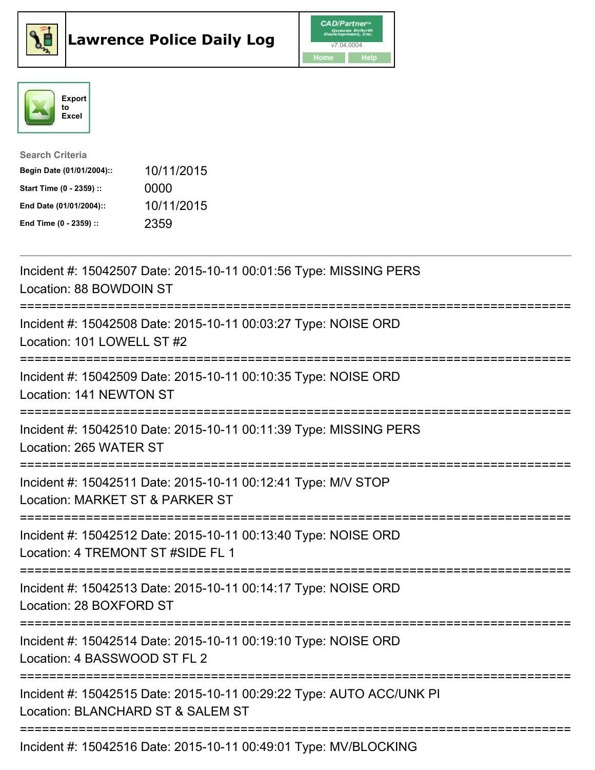





| <b>Search Criteria</b>    |            |
|---------------------------|------------|
| Begin Date (01/01/2004):: | 10/11/2015 |
| Start Time (0 - 2359) ::  | 0000       |
| End Date (01/01/2004)::   | 10/11/2015 |
| End Time (0 - 2359) ::    | 2359       |

| Incident #: 15042507 Date: 2015-10-11 00:01:56 Type: MISSING PERS<br>Location: 88 BOWDOIN ST<br>===============                                                      |
|----------------------------------------------------------------------------------------------------------------------------------------------------------------------|
| Incident #: 15042508 Date: 2015-10-11 00:03:27 Type: NOISE ORD<br>Location: 101 LOWELL ST #2<br>---------------                                                      |
| Incident #: 15042509 Date: 2015-10-11 00:10:35 Type: NOISE ORD<br>Location: 141 NEWTON ST<br>-----------------                                                       |
| Incident #: 15042510 Date: 2015-10-11 00:11:39 Type: MISSING PERS<br>Location: 265 WATER ST                                                                          |
| Incident #: 15042511 Date: 2015-10-11 00:12:41 Type: M/V STOP<br>Location: MARKET ST & PARKER ST                                                                     |
| Incident #: 15042512 Date: 2015-10-11 00:13:40 Type: NOISE ORD<br>Location: 4 TREMONT ST #SIDE FL 1<br>:===========================                                  |
| Incident #: 15042513 Date: 2015-10-11 00:14:17 Type: NOISE ORD<br>Location: 28 BOXFORD ST                                                                            |
| Incident #: 15042514 Date: 2015-10-11 00:19:10 Type: NOISE ORD<br>Location: 4 BASSWOOD ST FL 2<br>:=========================<br>------------------------------------ |
| Incident #: 15042515 Date: 2015-10-11 00:29:22 Type: AUTO ACC/UNK PI<br>Location: BLANCHARD ST & SALEM ST                                                            |
| Incident #: 15042516 Date: 2015-10-11 00:49:01 Type: MV/BLOCKING                                                                                                     |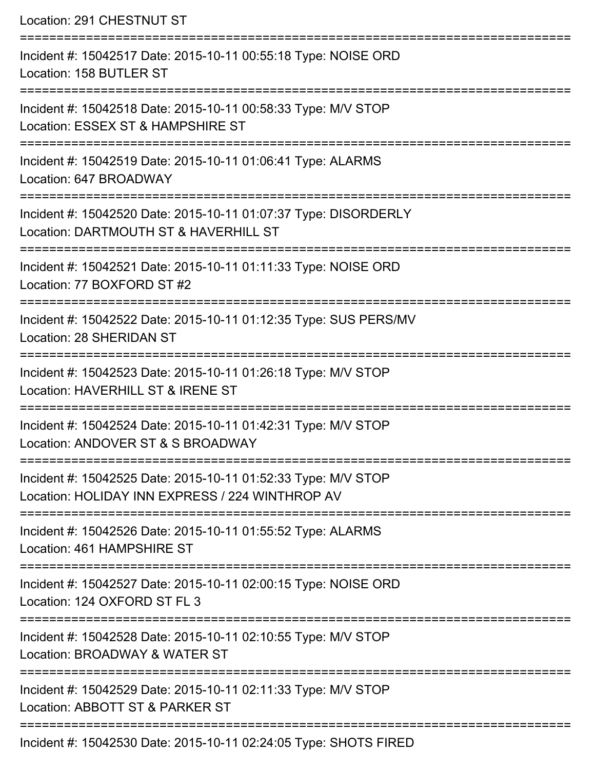Location: 291 CHESTNUT ST

| Incident #: 15042517 Date: 2015-10-11 00:55:18 Type: NOISE ORD<br>Location: 158 BUTLER ST                        |
|------------------------------------------------------------------------------------------------------------------|
| Incident #: 15042518 Date: 2015-10-11 00:58:33 Type: M/V STOP<br>Location: ESSEX ST & HAMPSHIRE ST               |
| Incident #: 15042519 Date: 2015-10-11 01:06:41 Type: ALARMS<br>Location: 647 BROADWAY                            |
| Incident #: 15042520 Date: 2015-10-11 01:07:37 Type: DISORDERLY<br>Location: DARTMOUTH ST & HAVERHILL ST         |
| Incident #: 15042521 Date: 2015-10-11 01:11:33 Type: NOISE ORD<br>Location: 77 BOXFORD ST #2                     |
| Incident #: 15042522 Date: 2015-10-11 01:12:35 Type: SUS PERS/MV<br>Location: 28 SHERIDAN ST                     |
| Incident #: 15042523 Date: 2015-10-11 01:26:18 Type: M/V STOP<br>Location: HAVERHILL ST & IRENE ST               |
| Incident #: 15042524 Date: 2015-10-11 01:42:31 Type: M/V STOP<br>Location: ANDOVER ST & S BROADWAY               |
| Incident #: 15042525 Date: 2015-10-11 01:52:33 Type: M/V STOP<br>Location: HOLIDAY INN EXPRESS / 224 WINTHROP AV |
| Incident #: 15042526 Date: 2015-10-11 01:55:52 Type: ALARMS<br>Location: 461 HAMPSHIRE ST                        |
| Incident #: 15042527 Date: 2015-10-11 02:00:15 Type: NOISE ORD<br>Location: 124 OXFORD ST FL 3                   |
| Incident #: 15042528 Date: 2015-10-11 02:10:55 Type: M/V STOP<br>Location: BROADWAY & WATER ST                   |
| Incident #: 15042529 Date: 2015-10-11 02:11:33 Type: M/V STOP<br>Location: ABBOTT ST & PARKER ST                 |
| Incident #: 15042530 Date: 2015-10-11 02:24:05 Type: SHOTS FIRED                                                 |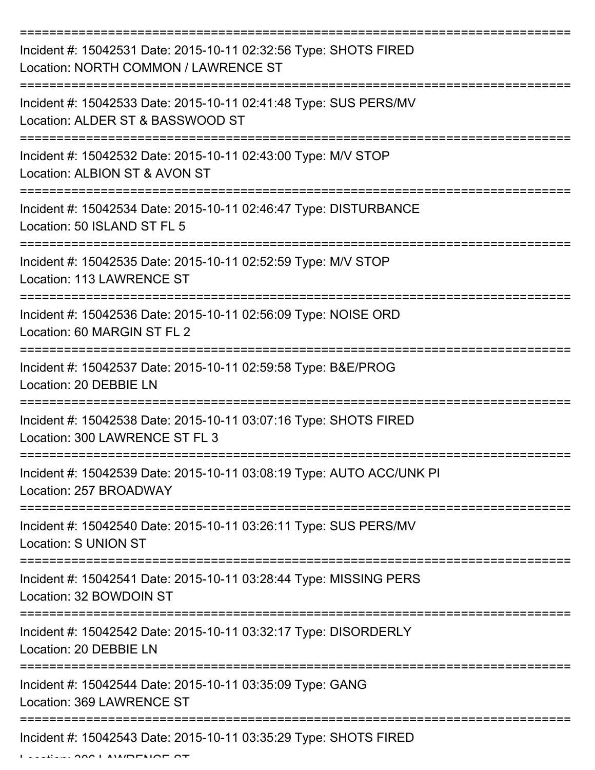| Incident #: 15042531 Date: 2015-10-11 02:32:56 Type: SHOTS FIRED<br>Location: NORTH COMMON / LAWRENCE ST |
|----------------------------------------------------------------------------------------------------------|
| Incident #: 15042533 Date: 2015-10-11 02:41:48 Type: SUS PERS/MV<br>Location: ALDER ST & BASSWOOD ST     |
| Incident #: 15042532 Date: 2015-10-11 02:43:00 Type: M/V STOP<br>Location: ALBION ST & AVON ST           |
| Incident #: 15042534 Date: 2015-10-11 02:46:47 Type: DISTURBANCE<br>Location: 50 ISLAND ST FL 5          |
| Incident #: 15042535 Date: 2015-10-11 02:52:59 Type: M/V STOP<br>Location: 113 LAWRENCE ST               |
| Incident #: 15042536 Date: 2015-10-11 02:56:09 Type: NOISE ORD<br>Location: 60 MARGIN ST FL 2            |
| Incident #: 15042537 Date: 2015-10-11 02:59:58 Type: B&E/PROG<br>Location: 20 DEBBIE LN                  |
| Incident #: 15042538 Date: 2015-10-11 03:07:16 Type: SHOTS FIRED<br>Location: 300 LAWRENCE ST FL 3       |
| Incident #: 15042539 Date: 2015-10-11 03:08:19 Type: AUTO ACC/UNK PI<br>Location: 257 BROADWAY           |
| Incident #: 15042540 Date: 2015-10-11 03:26:11 Type: SUS PERS/MV<br>Location: S UNION ST                 |
| Incident #: 15042541 Date: 2015-10-11 03:28:44 Type: MISSING PERS<br>Location: 32 BOWDOIN ST             |
| Incident #: 15042542 Date: 2015-10-11 03:32:17 Type: DISORDERLY<br>Location: 20 DEBBIE LN                |
| Incident #: 15042544 Date: 2015-10-11 03:35:09 Type: GANG<br>Location: 369 LAWRENCE ST                   |
| Incident #: 15042543 Date: 2015-10-11 03:35:29 Type: SHOTS FIRED                                         |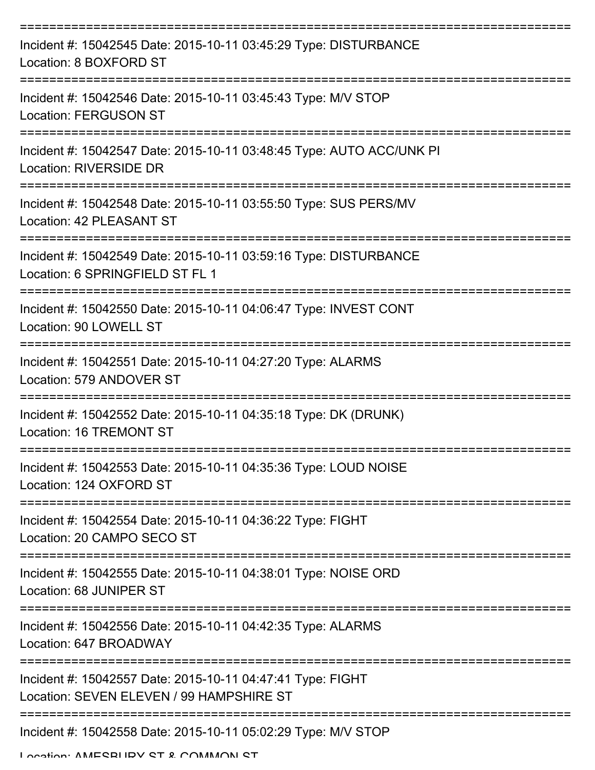| Incident #: 15042545 Date: 2015-10-11 03:45:29 Type: DISTURBANCE<br>Location: 8 BOXFORD ST             |
|--------------------------------------------------------------------------------------------------------|
| Incident #: 15042546 Date: 2015-10-11 03:45:43 Type: M/V STOP<br><b>Location: FERGUSON ST</b>          |
| Incident #: 15042547 Date: 2015-10-11 03:48:45 Type: AUTO ACC/UNK PI<br>Location: RIVERSIDE DR         |
| Incident #: 15042548 Date: 2015-10-11 03:55:50 Type: SUS PERS/MV<br>Location: 42 PLEASANT ST           |
| Incident #: 15042549 Date: 2015-10-11 03:59:16 Type: DISTURBANCE<br>Location: 6 SPRINGFIELD ST FL 1    |
| Incident #: 15042550 Date: 2015-10-11 04:06:47 Type: INVEST CONT<br>Location: 90 LOWELL ST             |
| Incident #: 15042551 Date: 2015-10-11 04:27:20 Type: ALARMS<br>Location: 579 ANDOVER ST                |
| Incident #: 15042552 Date: 2015-10-11 04:35:18 Type: DK (DRUNK)<br>Location: 16 TREMONT ST             |
| Incident #: 15042553 Date: 2015-10-11 04:35:36 Type: LOUD NOISE<br>Location: 124 OXFORD ST             |
| Incident #: 15042554 Date: 2015-10-11 04:36:22 Type: FIGHT<br>Location: 20 CAMPO SECO ST               |
| Incident #: 15042555 Date: 2015-10-11 04:38:01 Type: NOISE ORD<br>Location: 68 JUNIPER ST              |
| Incident #: 15042556 Date: 2015-10-11 04:42:35 Type: ALARMS<br>Location: 647 BROADWAY                  |
| Incident #: 15042557 Date: 2015-10-11 04:47:41 Type: FIGHT<br>Location: SEVEN ELEVEN / 99 HAMPSHIRE ST |
| Incident #: 15042558 Date: 2015-10-11 05:02:29 Type: M/V STOP<br>Location: AMECRLIDV CT & COMMAN CT    |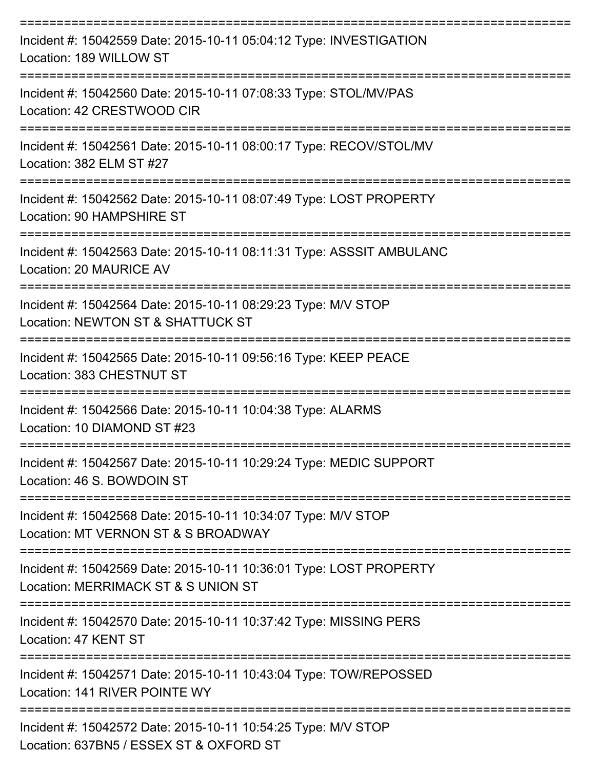| Incident #: 15042559 Date: 2015-10-11 05:04:12 Type: INVESTIGATION<br>Location: 189 WILLOW ST             |
|-----------------------------------------------------------------------------------------------------------|
| Incident #: 15042560 Date: 2015-10-11 07:08:33 Type: STOL/MV/PAS<br>Location: 42 CRESTWOOD CIR            |
| Incident #: 15042561 Date: 2015-10-11 08:00:17 Type: RECOV/STOL/MV<br>Location: 382 ELM ST #27            |
| Incident #: 15042562 Date: 2015-10-11 08:07:49 Type: LOST PROPERTY<br>Location: 90 HAMPSHIRE ST           |
| Incident #: 15042563 Date: 2015-10-11 08:11:31 Type: ASSSIT AMBULANC<br>Location: 20 MAURICE AV           |
| Incident #: 15042564 Date: 2015-10-11 08:29:23 Type: M/V STOP<br>Location: NEWTON ST & SHATTUCK ST        |
| Incident #: 15042565 Date: 2015-10-11 09:56:16 Type: KEEP PEACE<br>Location: 383 CHESTNUT ST              |
| Incident #: 15042566 Date: 2015-10-11 10:04:38 Type: ALARMS<br>Location: 10 DIAMOND ST #23                |
| Incident #: 15042567 Date: 2015-10-11 10:29:24 Type: MEDIC SUPPORT<br>Location: 46 S. BOWDOIN ST          |
| Incident #: 15042568 Date: 2015-10-11 10:34:07 Type: M/V STOP<br>Location: MT VERNON ST & S BROADWAY      |
| Incident #: 15042569 Date: 2015-10-11 10:36:01 Type: LOST PROPERTY<br>Location: MERRIMACK ST & S UNION ST |
| Incident #: 15042570 Date: 2015-10-11 10:37:42 Type: MISSING PERS<br>Location: 47 KENT ST                 |
| Incident #: 15042571 Date: 2015-10-11 10:43:04 Type: TOW/REPOSSED<br>Location: 141 RIVER POINTE WY        |
| Incident #: 15042572 Date: 2015-10-11 10:54:25 Type: M/V STOP<br>Location: 637BN5 / ESSEX ST & OXFORD ST  |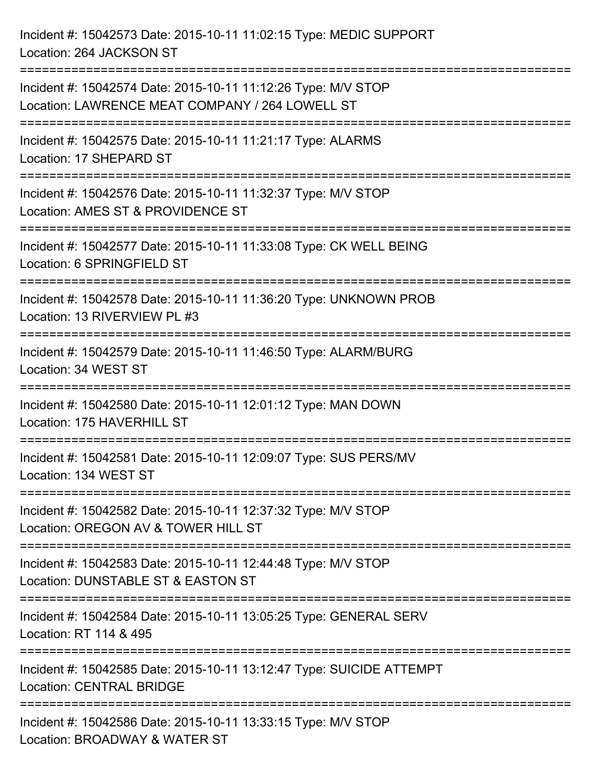Incident #: 15042573 Date: 2015-10-11 11:02:15 Type: MEDIC SUPPORT Location: 264 JACKSON ST

=========================================================================== Incident #: 15042574 Date: 2015-10-11 11:12:26 Type: M/V STOP Location: LAWRENCE MEAT COMPANY / 264 LOWELL ST =========================================================================== Incident #: 15042575 Date: 2015-10-11 11:21:17 Type: ALARMS Location: 17 SHEPARD ST =========================================================================== Incident #: 15042576 Date: 2015-10-11 11:32:37 Type: M/V STOP Location: AMES ST & PROVIDENCE ST =========================================================================== Incident #: 15042577 Date: 2015-10-11 11:33:08 Type: CK WELL BEING Location: 6 SPRINGFIELD ST =========================================================================== Incident #: 15042578 Date: 2015-10-11 11:36:20 Type: UNKNOWN PROB Location: 13 RIVERVIEW PL #3 =========================================================================== Incident #: 15042579 Date: 2015-10-11 11:46:50 Type: ALARM/BURG Location: 34 WEST ST =========================================================================== Incident #: 15042580 Date: 2015-10-11 12:01:12 Type: MAN DOWN Location: 175 HAVERHILL ST =========================================================================== Incident #: 15042581 Date: 2015-10-11 12:09:07 Type: SUS PERS/MV Location: 134 WEST ST =========================================================================== Incident #: 15042582 Date: 2015-10-11 12:37:32 Type: M/V STOP Location: OREGON AV & TOWER HILL ST =========================================================================== Incident #: 15042583 Date: 2015-10-11 12:44:48 Type: M/V STOP Location: DUNSTABLE ST & EASTON ST =========================================================================== Incident #: 15042584 Date: 2015-10-11 13:05:25 Type: GENERAL SERV Location: RT 114 & 495 =========================================================================== Incident #: 15042585 Date: 2015-10-11 13:12:47 Type: SUICIDE ATTEMPT Location: CENTRAL BRIDGE ===========================================================================

Incident #: 15042586 Date: 2015-10-11 13:33:15 Type: M/V STOP Location: BROADWAY & WATER ST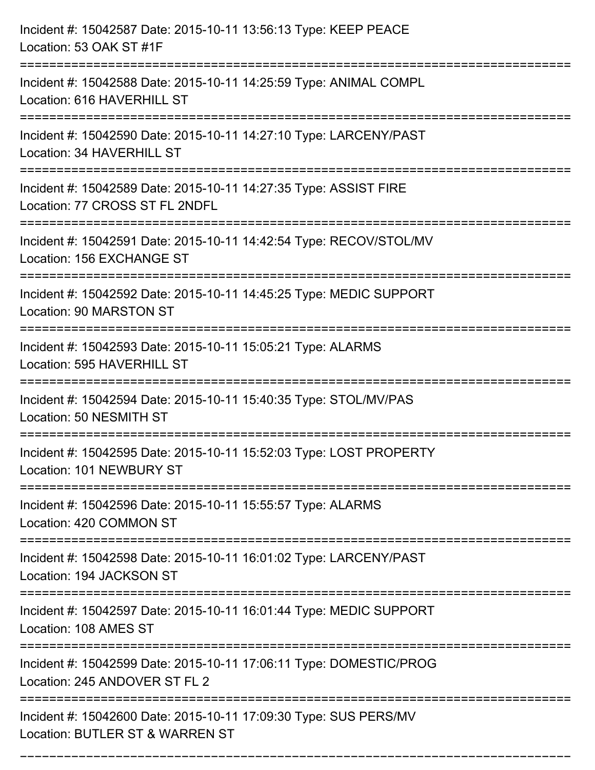| Incident #: 15042587 Date: 2015-10-11 13:56:13 Type: KEEP PEACE<br>Location: 53 OAK ST #1F               |
|----------------------------------------------------------------------------------------------------------|
| Incident #: 15042588 Date: 2015-10-11 14:25:59 Type: ANIMAL COMPL<br>Location: 616 HAVERHILL ST          |
| Incident #: 15042590 Date: 2015-10-11 14:27:10 Type: LARCENY/PAST<br>Location: 34 HAVERHILL ST           |
| Incident #: 15042589 Date: 2015-10-11 14:27:35 Type: ASSIST FIRE<br>Location: 77 CROSS ST FL 2NDFL       |
| Incident #: 15042591 Date: 2015-10-11 14:42:54 Type: RECOV/STOL/MV<br>Location: 156 EXCHANGE ST          |
| Incident #: 15042592 Date: 2015-10-11 14:45:25 Type: MEDIC SUPPORT<br><b>Location: 90 MARSTON ST</b>     |
| Incident #: 15042593 Date: 2015-10-11 15:05:21 Type: ALARMS<br>Location: 595 HAVERHILL ST<br>=========== |
| Incident #: 15042594 Date: 2015-10-11 15:40:35 Type: STOL/MV/PAS<br>Location: 50 NESMITH ST              |
| Incident #: 15042595 Date: 2015-10-11 15:52:03 Type: LOST PROPERTY<br>Location: 101 NEWBURY ST           |
| Incident #: 15042596 Date: 2015-10-11 15:55:57 Type: ALARMS<br>Location: 420 COMMON ST                   |
| Incident #: 15042598 Date: 2015-10-11 16:01:02 Type: LARCENY/PAST<br>Location: 194 JACKSON ST            |
| Incident #: 15042597 Date: 2015-10-11 16:01:44 Type: MEDIC SUPPORT<br>Location: 108 AMES ST              |
| Incident #: 15042599 Date: 2015-10-11 17:06:11 Type: DOMESTIC/PROG<br>Location: 245 ANDOVER ST FL 2      |
| Incident #: 15042600 Date: 2015-10-11 17:09:30 Type: SUS PERS/MV<br>Location: BUTLER ST & WARREN ST      |

===========================================================================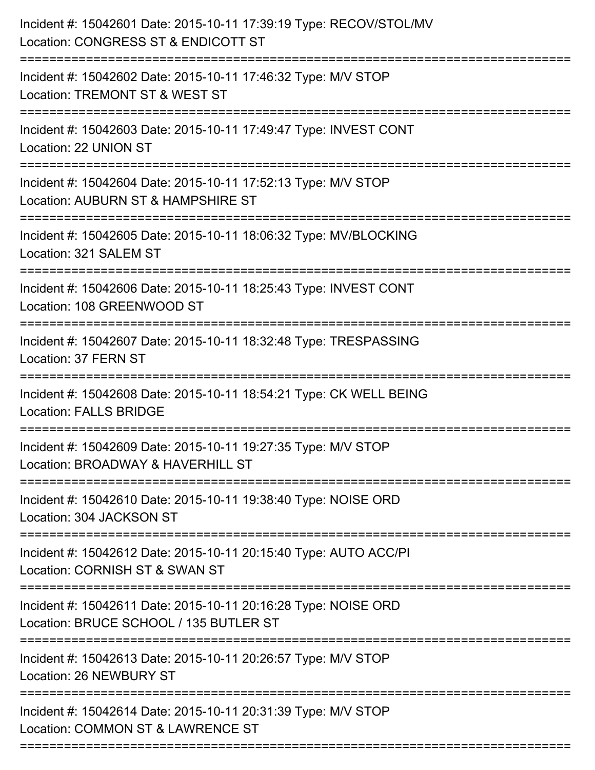| Incident #: 15042601 Date: 2015-10-11 17:39:19 Type: RECOV/STOL/MV<br>Location: CONGRESS ST & ENDICOTT ST |
|-----------------------------------------------------------------------------------------------------------|
| Incident #: 15042602 Date: 2015-10-11 17:46:32 Type: M/V STOP<br>Location: TREMONT ST & WEST ST           |
| Incident #: 15042603 Date: 2015-10-11 17:49:47 Type: INVEST CONT<br>Location: 22 UNION ST                 |
| Incident #: 15042604 Date: 2015-10-11 17:52:13 Type: M/V STOP<br>Location: AUBURN ST & HAMPSHIRE ST       |
| Incident #: 15042605 Date: 2015-10-11 18:06:32 Type: MV/BLOCKING<br>Location: 321 SALEM ST                |
| Incident #: 15042606 Date: 2015-10-11 18:25:43 Type: INVEST CONT<br>Location: 108 GREENWOOD ST            |
| Incident #: 15042607 Date: 2015-10-11 18:32:48 Type: TRESPASSING<br>Location: 37 FERN ST                  |
| Incident #: 15042608 Date: 2015-10-11 18:54:21 Type: CK WELL BEING<br><b>Location: FALLS BRIDGE</b>       |
| Incident #: 15042609 Date: 2015-10-11 19:27:35 Type: M/V STOP<br>Location: BROADWAY & HAVERHILL ST        |
| Incident #: 15042610 Date: 2015-10-11 19:38:40 Type: NOISE ORD<br>Location: 304 JACKSON ST                |
| Incident #: 15042612 Date: 2015-10-11 20:15:40 Type: AUTO ACC/PI<br>Location: CORNISH ST & SWAN ST        |
| Incident #: 15042611 Date: 2015-10-11 20:16:28 Type: NOISE ORD<br>Location: BRUCE SCHOOL / 135 BUTLER ST  |
| Incident #: 15042613 Date: 2015-10-11 20:26:57 Type: M/V STOP<br>Location: 26 NEWBURY ST                  |
| Incident #: 15042614 Date: 2015-10-11 20:31:39 Type: M/V STOP<br>Location: COMMON ST & LAWRENCE ST        |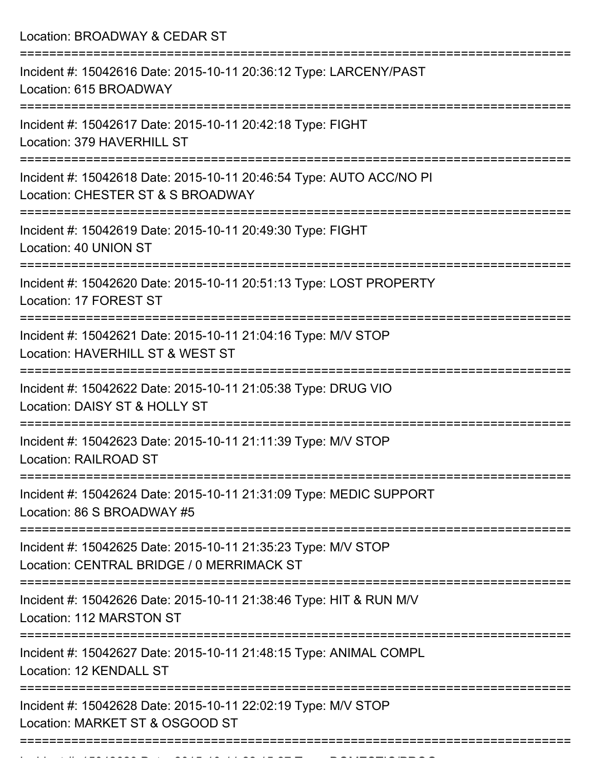Location: BROADWAY & CEDAR ST =========================================================================== Incident #: 15042616 Date: 2015-10-11 20:36:12 Type: LARCENY/PAST Location: 615 BROADWAY =========================================================================== Incident #: 15042617 Date: 2015-10-11 20:42:18 Type: FIGHT Location: 379 HAVERHILL ST =========================================================================== Incident #: 15042618 Date: 2015-10-11 20:46:54 Type: AUTO ACC/NO PI Location: CHESTER ST & S BROADWAY =========================================================================== Incident #: 15042619 Date: 2015-10-11 20:49:30 Type: FIGHT Location: 40 UNION ST =========================================================================== Incident #: 15042620 Date: 2015-10-11 20:51:13 Type: LOST PROPERTY Location: 17 FOREST ST =========================================================================== Incident #: 15042621 Date: 2015-10-11 21:04:16 Type: M/V STOP Location: HAVERHILL ST & WEST ST =========================================================================== Incident #: 15042622 Date: 2015-10-11 21:05:38 Type: DRUG VIO Location: DAISY ST & HOLLY ST =========================================================================== Incident #: 15042623 Date: 2015-10-11 21:11:39 Type: M/V STOP Location: RAILROAD ST =========================================================================== Incident #: 15042624 Date: 2015-10-11 21:31:09 Type: MEDIC SUPPORT Location: 86 S BROADWAY #5 =========================================================================== Incident #: 15042625 Date: 2015-10-11 21:35:23 Type: M/V STOP Location: CENTRAL BRIDGE / 0 MERRIMACK ST =========================================================================== Incident #: 15042626 Date: 2015-10-11 21:38:46 Type: HIT & RUN M/V Location: 112 MARSTON ST =========================================================================== Incident #: 15042627 Date: 2015-10-11 21:48:15 Type: ANIMAL COMPL Location: 12 KENDALL ST =========================================================================== Incident #: 15042628 Date: 2015-10-11 22:02:19 Type: M/V STOP Location: MARKET ST & OSGOOD ST ===========================================================================

Incident #: 15042629 Date: 2015 10 11 22:15:27 Date: 2015 10 23:15:27 Type: 20<br>.